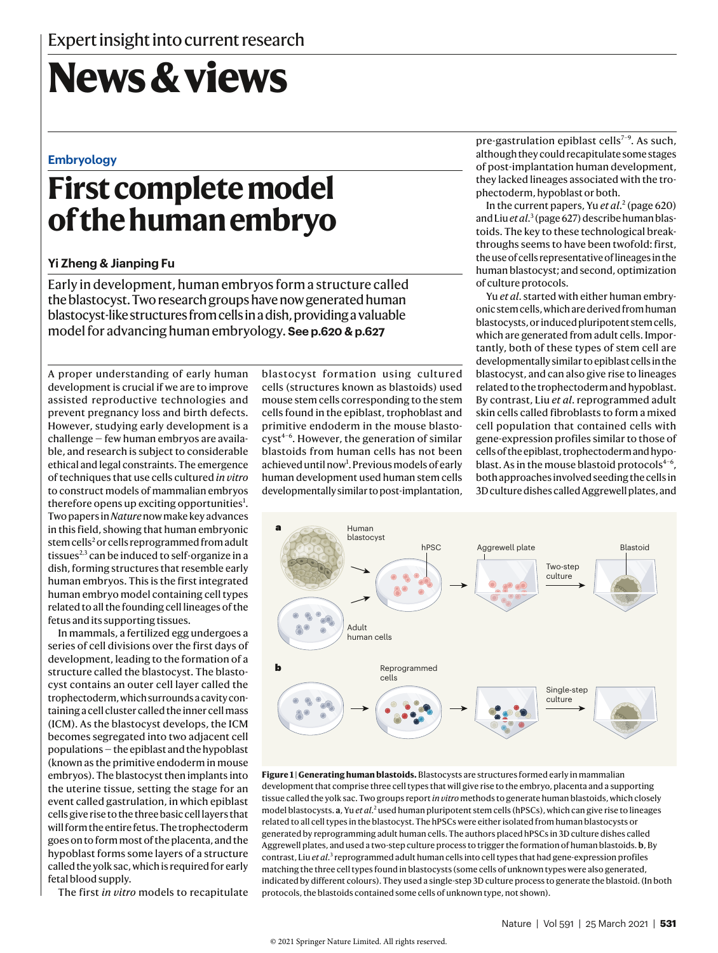# **News & views**

#### **Embryology**

### **First complete model of the human embryo**

#### **Yi Zheng & Jianping Fu**

Early in development, human embryos form a structure called the blastocyst. Two research groups have now generated human blastocyst-like structures from cells in a dish, providing a valuable model for advancing human embryology. **See p.620 & p.627**

A proper understanding of early human development is crucial if we are to improve assisted reproductive technologies and prevent pregnancy loss and birth defects. However, studying early development is a challenge — few human embryos are available, and research is subject to considerable ethical and legal constraints. The emergence of techniques that use cells cultured *in vitro* to construct models of mammalian embryos therefore opens up exciting opportunities<sup>1</sup>. Two papers in *Nature* now make key advances in this field, showing that human embryonic stem cells<sup>2</sup> or cells reprogrammed from adult tissues<sup>2,3</sup> can be induced to self-organize in a dish, forming structures that resemble early human embryos. This is the first integrated human embryo model containing cell types related to all the founding cell lineages of the fetus and its supporting tissues.

In mammals, a fertilized egg undergoes a series of cell divisions over the first days of development, leading to the formation of a structure called the blastocyst. The blastocyst contains an outer cell layer called the trophectoderm, which surrounds a cavity containing a cell cluster called the inner cell mass (ICM). As the blastocyst develops, the ICM becomes segregated into two adjacent cell populations — the epiblast and the hypoblast (known as the primitive endoderm in mouse embryos). The blastocyst then implants into the uterine tissue, setting the stage for an event called gastrulation, in which epiblast cells give rise to the three basic cell layers that will form the entire fetus. The trophectoderm goes on to form most of the placenta, and the hypoblast forms some layers of a structure called the yolk sac, which is required for early fetal blood supply.

The first *in vitro* models to recapitulate

blastocyst formation using cultured cells (structures known as blastoids) used mouse stem cells corresponding to the stem cells found in the epiblast, trophoblast and primitive endoderm in the mouse blasto $cyst^{4-6}$ . However, the generation of similar blastoids from human cells has not been achieved until now<sup>1</sup>. Previous models of early human development used human stem cells developmentally similar to post-implantation, pre-gastrulation epiblast cells<sup> $7-9$ </sup>. As such, although they could recapitulate some stages of post-implantation human development, they lacked lineages associated with the trophectoderm, hypoblast or both.

In the current papers, Yu *et al*. 2 (page 620) and Liu *et al*. 3 (page 627) describe human blastoids. The key to these technological breakthroughs seems to have been twofold: first, the use of cells representative of lineages in the human blastocyst; and second, optimization of culture protocols.

Yu *et al*. started with either human embryonic stem cells, which are derived from human blastocysts, or induced pluripotent stem cells, which are generated from adult cells. Importantly, both of these types of stem cell are developmentally similar to epiblast cells in the blastocyst, and can also give rise to lineages related to the trophectoderm and hypoblast. By contrast, Liu *et al*. reprogrammed adult skin cells called fibroblasts to form a mixed cell population that contained cells with gene-expression profiles similar to those of cells of the epiblast, trophectoderm and hypoblast. As in the mouse blastoid protocols $4-6$ , both approaches involved seeding the cells in 3D culture dishes called Aggrewell plates, and



**Figure 1 | Generating human blastoids.** Blastocysts are structures formed early in mammalian development that comprise three cell types that will give rise to the embryo, placenta and a supporting tissue called the yolk sac. Two groups report *in vitro* methods to generate human blastoids, which closely model blastocysts. a, Yu et al.<sup>2</sup> used human pluripotent stem cells (hPSCs), which can give rise to lineages related to all cell types in the blastocyst. The hPSCs were either isolated from human blastocysts or generated by reprogramming adult human cells. The authors placed hPSCs in 3D culture dishes called Aggrewell plates, and used a two-step culture process to trigger the formation of human blastoids. **b**, By contrast, Liu et al.<sup>3</sup> reprogrammed adult human cells into cell types that had gene-expression profiles matching the three cell types found in blastocysts (some cells of unknown types were also generated, indicated by different colours). They used a single-step 3D culture process to generate the blastoid. (In both protocols, the blastoids contained some cells of unknown type, not shown).